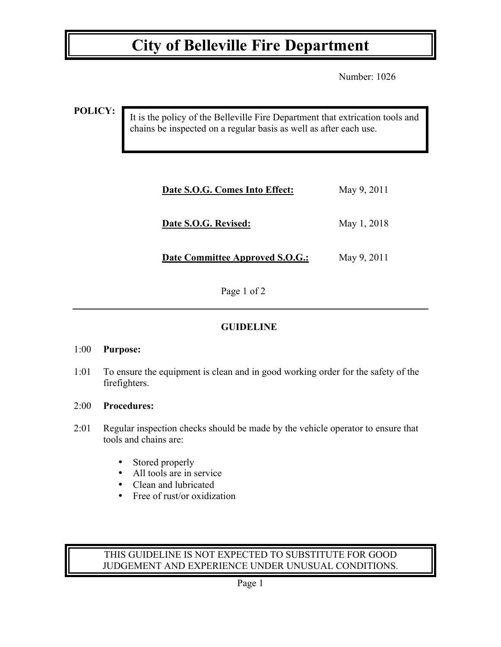## **City of Belleville Fire Department**

Number: 1026

**POLICY:**

It is the policy of the Belleville Fire Department that extrication tools and chains be inspected on a regular basis as well as after each use.

| Date S.O.G. Comes Into Effect:         | May 9, 2011 |
|----------------------------------------|-------------|
| Date S.O.G. Revised:                   | May 1, 2018 |
| <b>Date Committee Approved S.O.G.:</b> | May 9, 2011 |

Page 1 of 2

### **GUIDELINE**

#### 1:00 **Purpose:**

1:01 To ensure the equipment is clean and in good working order for the safety of the firefighters.

#### 2:00 **Procedures:**

- 2:01 Regular inspection checks should be made by the vehicle operator to ensure that tools and chains are:
	- Stored properly
	- All tools are in service
	- Clean and lubricated
	- Free of rust/or oxidization

#### THIS GUIDELINE IS NOT EXPECTED TO SUBSTITUTE FOR GOOD JUDGEMENT AND EXPERIENCE UNDER UNUSUAL CONDITIONS.